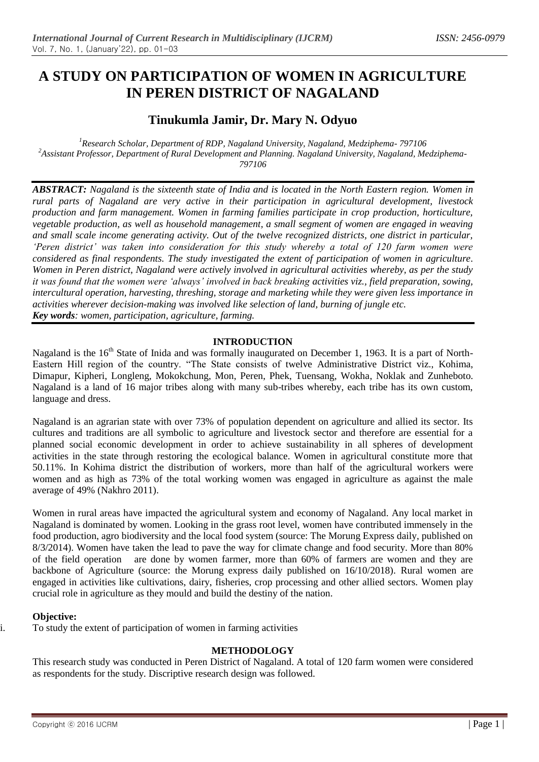# **A STUDY ON PARTICIPATION OF WOMEN IN AGRICULTURE IN PEREN DISTRICT OF NAGALAND**

## **Tinukumla Jamir, Dr. Mary N. Odyuo**

*<sup>1</sup>Research Scholar, Department of RDP, Nagaland University, Nagaland, Medziphema- 797106 <sup>2</sup>Assistant Professor, Department of Rural Development and Planning. Nagaland University, Nagaland, Medziphema-797106*

*ABSTRACT: Nagaland is the sixteenth state of India and is located in the North Eastern region. Women in rural parts of Nagaland are very active in their participation in agricultural development, livestock production and farm management. Women in farming families participate in crop production, horticulture, vegetable production, as well as household management, a small segment of women are engaged in weaving and small scale income generating activity. Out of the twelve recognized districts, one district in particular, 'Peren district' was taken into consideration for this study whereby a total of 120 farm women were considered as final respondents. The study investigated the extent of participation of women in agriculture. Women in Peren district, Nagaland were actively involved in agricultural activities whereby, as per the study it was found that the women were 'always' involved in back breaking activities viz., field preparation, sowing, intercultural operation, harvesting, threshing, storage and marketing while they were given less importance in activities wherever decision-making was involved like selection of land, burning of jungle etc. Key words: women, participation, agriculture, farming.*

### **INTRODUCTION**

Nagaland is the 16<sup>th</sup> State of Inida and was formally inaugurated on December 1, 1963. It is a part of North-Eastern Hill region of the country. "The State consists of twelve Administrative District viz., Kohima, Dimapur, Kipheri, Longleng, Mokokchung, Mon, Peren, Phek, Tuensang, Wokha, Noklak and Zunheboto. Nagaland is a land of 16 major tribes along with many sub-tribes whereby, each tribe has its own custom, language and dress.

Nagaland is an agrarian state with over 73% of population dependent on agriculture and allied its sector. Its cultures and traditions are all symbolic to agriculture and livestock sector and therefore are essential for a planned social economic development in order to achieve sustainability in all spheres of development activities in the state through restoring the ecological balance. Women in agricultural constitute more that 50.11%. In Kohima district the distribution of workers, more than half of the agricultural workers were women and as high as 73% of the total working women was engaged in agriculture as against the male average of 49% (Nakhro 2011).

Women in rural areas have impacted the agricultural system and economy of Nagaland. Any local market in Nagaland is dominated by women. Looking in the grass root level, women have contributed immensely in the food production, agro biodiversity and the local food system (source: The Morung Express daily, published on 8/3/2014). Women have taken the lead to pave the way for climate change and food security. More than 80% of the field operation are done by women farmer, more than 60% of farmers are women and they are backbone of Agriculture (source: the Morung express daily published on 16/10/2018). Rural women are engaged in activities like cultivations, dairy, fisheries, crop processing and other allied sectors. Women play crucial role in agriculture as they mould and build the destiny of the nation.

#### **Objective:**

i. To study the extent of participation of women in farming activities

#### **METHODOLOGY**

This research study was conducted in Peren District of Nagaland. A total of 120 farm women were considered as respondents for the study. Discriptive research design was followed.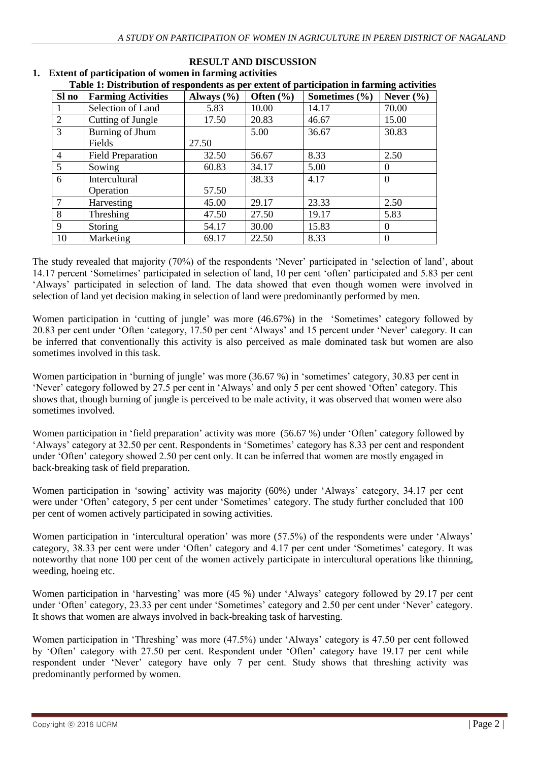| Table 1. Distribution of respondents as per extent or participation in farming activities |                           |                |               |                   |               |
|-------------------------------------------------------------------------------------------|---------------------------|----------------|---------------|-------------------|---------------|
| Sl no                                                                                     | <b>Farming Activities</b> | Always $(\% )$ | Often $(\% )$ | Sometimes $(\% )$ | Never $(\% )$ |
|                                                                                           | Selection of Land         | 5.83           | 10.00         | 14.17             | 70.00         |
| 2                                                                                         | Cutting of Jungle         | 17.50          | 20.83         | 46.67             | 15.00         |
| $\overline{3}$                                                                            | Burning of Jhum           |                | 5.00          | 36.67             | 30.83         |
|                                                                                           | Fields                    | 27.50          |               |                   |               |
| $\overline{4}$                                                                            | <b>Field Preparation</b>  | 32.50          | 56.67         | 8.33              | 2.50          |
| 5                                                                                         | Sowing                    | 60.83          | 34.17         | 5.00              | $\Omega$      |
| 6                                                                                         | <b>Intercultural</b>      |                | 38.33         | 4.17              | $\Omega$      |
|                                                                                           | Operation                 | 57.50          |               |                   |               |
| 7                                                                                         | Harvesting                | 45.00          | 29.17         | 23.33             | 2.50          |
| 8                                                                                         | Threshing                 | 47.50          | 27.50         | 19.17             | 5.83          |
| 9                                                                                         | Storing                   | 54.17          | 30.00         | 15.83             | $\Omega$      |
| 10                                                                                        | Marketing                 | 69.17          | 22.50         | 8.33              | 0             |

#### **RESULT AND DISCUSSION 1. Extent of participation of women in farming activities Table 1: Distribution of respondents as per extent of participation in farming activities**

The study revealed that majority (70%) of the respondents 'Never' participated in 'selection of land', about 14.17 percent 'Sometimes' participated in selection of land, 10 per cent 'often' participated and 5.83 per cent 'Always' participated in selection of land. The data showed that even though women were involved in selection of land yet decision making in selection of land were predominantly performed by men.

Women participation in 'cutting of jungle' was more (46.67%) in the 'Sometimes' category followed by 20.83 per cent under 'Often 'category, 17.50 per cent 'Always' and 15 percent under 'Never' category. It can be inferred that conventionally this activity is also perceived as male dominated task but women are also sometimes involved in this task.

Women participation in 'burning of jungle' was more (36.67 %) in 'sometimes' category, 30.83 per cent in 'Never' category followed by 27.5 per cent in 'Always' and only 5 per cent showed 'Often' category. This shows that, though burning of jungle is perceived to be male activity, it was observed that women were also sometimes involved.

Women participation in 'field preparation' activity was more (56.67 %) under 'Often' category followed by 'Always' category at 32.50 per cent. Respondents in 'Sometimes' category has 8.33 per cent and respondent under 'Often' category showed 2.50 per cent only. It can be inferred that women are mostly engaged in back-breaking task of field preparation.

Women participation in 'sowing' activity was majority (60%) under 'Always' category, 34.17 per cent were under 'Often' category, 5 per cent under 'Sometimes' category. The study further concluded that 100 per cent of women actively participated in sowing activities.

Women participation in 'intercultural operation' was more (57.5%) of the respondents were under 'Always' category, 38.33 per cent were under 'Often' category and 4.17 per cent under 'Sometimes' category. It was noteworthy that none 100 per cent of the women actively participate in intercultural operations like thinning, weeding, hoeing etc.

Women participation in 'harvesting' was more (45 %) under 'Always' category followed by 29.17 per cent under 'Often' category, 23.33 per cent under 'Sometimes' category and 2.50 per cent under 'Never' category. It shows that women are always involved in back-breaking task of harvesting.

Women participation in 'Threshing' was more (47.5%) under 'Always' category is 47.50 per cent followed by 'Often' category with 27.50 per cent. Respondent under 'Often' category have 19.17 per cent while respondent under 'Never' category have only 7 per cent. Study shows that threshing activity was predominantly performed by women.